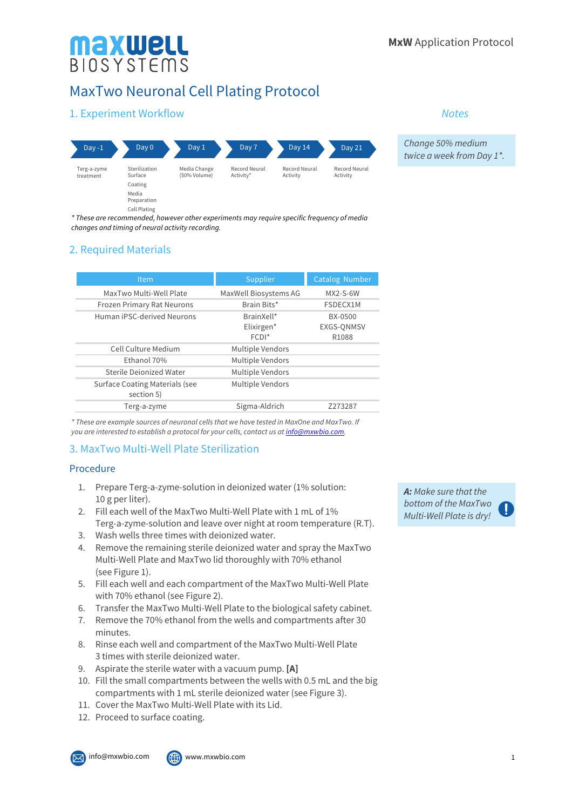*Change 50% medium twice a week from Day 1\*.*

*Notes*

# MaxTwo Neuronal Cell Plating Protocol

# 1. Experiment Workflow

**Maxwell**<br>BIOSYSTEMS



*\* These are recommended, however other experiments may require specific frequency of media changes and timing of neural activity recording.*

## 2. Required Materials

| Item                                                | Supplier                | <b>Catalog Number</b> |
|-----------------------------------------------------|-------------------------|-----------------------|
| MaxTwo Multi-Well Plate                             | MaxWell Biosystems AG   | $MX2-S-6W$            |
| <b>Frozen Primary Rat Neurons</b>                   | Brain Bits*             | FSDECX1M              |
| Human iPSC-derived Neurons                          | BrainXell*              | BX-0500               |
|                                                     | Elixirgen*              | EXGS-QNMSV            |
|                                                     | $FCDI*$                 | R1088                 |
| Cell Culture Medium                                 | Multiple Vendors        |                       |
| Fthanol 70%                                         | Multiple Vendors        |                       |
| Sterile Dejonized Water                             | Multiple Vendors        |                       |
| <b>Surface Coating Materials (see</b><br>section 5) | <b>Multiple Vendors</b> |                       |
| Terg-a-zyme                                         | Sigma-Aldrich           | Z273287               |

*\* These are example sources of neuronal cells that we have tested in MaxOne and MaxTwo. If you are interested to establish a protocol for your cells, contact us at info@mxwbio.com.*

## 3. MaxTwo Multi-Well Plate Sterilization

#### Procedure

- 1. Prepare Terg-a-zyme-solution in deionized water (1% solution: 10 g per liter).
- 2. Fill each well of the MaxTwo Multi-Well Plate with 1 mL of 1% Terg-a-zyme-solution and leave over night at room temperature (R.T).
- 3. Wash wells three times with deionized water.
- 4. Remove the remaining sterile deionized water and spray the MaxTwo Multi-Well Plate and MaxTwo lid thoroughly with 70% ethanol (see Figure 1).
- 5. Fill each well and each compartment of the MaxTwo Multi-Well Plate with 70% ethanol (see Figure 2).
- 6. Transfer the MaxTwo Multi-Well Plate to the biological safety cabinet.
- 7. Remove the 70% ethanol from the wells and compartments after 30 minutes.
- 8. Rinse each well and compartment of the MaxTwo Multi-Well Plate 3 times with sterile deionized water.
- 9. Aspirate the sterile water with a vacuum pump. **[A]**
- 10. Fill the small compartments between the wells with 0.5 mL and the big compartments with 1 mL sterile deionized water (see Figure 3).
- 11. Cover the MaxTwo Multi-Well Plate with its Lid.
- 12. Proceed to surface coating.

*A: Make sure that the bottom of the MaxTwo Multi-Well Plate is dry!*

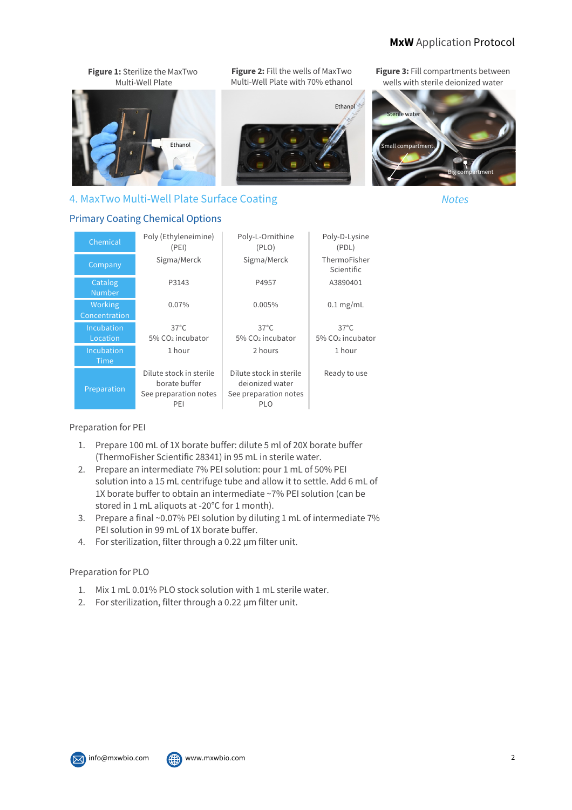## **MxW** Application Protocol



| Chemical                  | Poly (Ethyleneimine)<br>(PEI)                                            | Poly-L-Ornithine<br>(PLO)                                                         | Poly-D-Lysine<br>(PDL)       |
|---------------------------|--------------------------------------------------------------------------|-----------------------------------------------------------------------------------|------------------------------|
| Company                   | Sigma/Merck                                                              | Sigma/Merck                                                                       | ThermoFisher<br>Scientific   |
| Catalog<br><b>Number</b>  | P3143                                                                    | P4957                                                                             | A3890401                     |
| Working<br>Concentration  | $0.07\%$                                                                 | 0.005%                                                                            | $0.1$ mg/mL                  |
| Incubation                | $37^{\circ}$ C                                                           | $37^{\circ}$ C                                                                    | $37^{\circ}$ C               |
| Location                  | $5\%$ CO <sub>2</sub> incubator                                          | $5\%$ CO <sub>2</sub> incubator                                                   | 5% CO <sub>2</sub> incubator |
| <b>Incubation</b><br>Time | 1 hour                                                                   | 2 hours                                                                           | 1 hour                       |
| Preparation               | Dilute stock in sterile<br>borate buffer<br>See preparation notes<br>PEI | Dilute stock in sterile<br>deionized water<br>See preparation notes<br><b>PLO</b> | Ready to use                 |

Preparation for PEI

- 1. Prepare 100 mL of 1X borate buffer: dilute 5 ml of 20X borate buffer (ThermoFisher Scientific 28341) in 95 mL in sterile water.
- 2. Prepare an intermediate 7% PEI solution: pour 1 mL of 50% PEI solution into a 15 mL centrifuge tube and allow it to settle. Add 6 mL of 1X borate buffer to obtain an intermediate ~7% PEI solution (can be stored in 1 mL aliquots at -20°C for 1 month).
- 3. Prepare a final ~0.07% PEI solution by diluting 1 mL of intermediate 7% PEI solution in 99 mL of 1X borate buffer.
- 4. For sterilization, filter through a 0.22 µm filter unit.

#### Preparation for PLO

- 1. Mix 1 mL 0.01% PLO stock solution with 1 mL sterile water.
- 2. For sterilization, filter through a 0.22 µm filter unit.

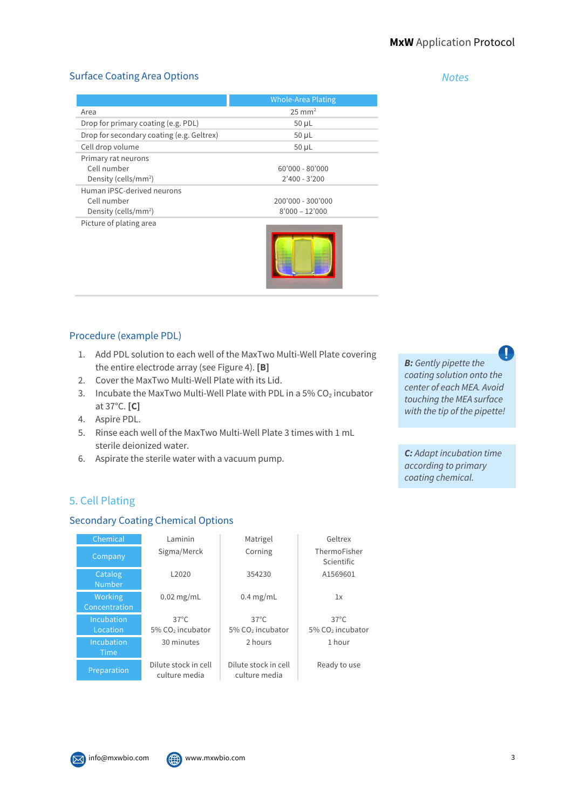*Notes*

#### Surface Coating Area Options

|                                           | Whole-Area Plating |  |
|-------------------------------------------|--------------------|--|
| Area                                      | $25 \text{ mm}^2$  |  |
| Drop for primary coating (e.g. PDL)       | $50 \mu L$         |  |
| Drop for secondary coating (e.g. Geltrex) | $50 \mu L$         |  |
| Cell drop volume                          | $50 \mu L$         |  |
| Primary rat neurons                       |                    |  |
| Cell number                               | 60'000 - 80'000    |  |
| Density (cells/mm <sup>2</sup> )          | $2'400 - 3'200$    |  |
| Human iPSC-derived neurons                |                    |  |
| Cell number                               | 200'000 - 300'000  |  |
| Density (cells/mm <sup>2</sup> )          | $8'000 - 12'000$   |  |
| Picture of plating area                   |                    |  |
|                                           |                    |  |



#### Procedure (example PDL)

- 1. Add PDL solution to each well of the MaxTwo Multi-Well Plate covering the entire electrode array (see Figure 4). **[B]**
- 2. Cover the MaxTwo Multi-Well Plate with its Lid.
- 3. Incubate the MaxTwo Multi-Well Plate with PDL in a 5%  $CO<sub>2</sub>$  incubator at 37°C. **[C]**
- 4. Aspire PDL.
- 5. Rinse each well of the MaxTwo Multi-Well Plate 3 times with 1 mL sterile deionized water.
- 6. Aspirate the sterile water with a vacuum pump.

5. Cell Plating

## Secondary Coating Chemical Options

| Chemical                  | I aminin                                       | Matrigel                                       | Geltrex                                        |
|---------------------------|------------------------------------------------|------------------------------------------------|------------------------------------------------|
| Company                   | Sigma/Merck                                    | Corning                                        | ThermoFisher<br>Scientific                     |
| Catalog<br><b>Number</b>  | L <sub>2020</sub>                              | 354230                                         | A1569601                                       |
| Working<br>Concentration  | $0.02$ mg/mL                                   | $0.4$ mg/mL                                    | 1x                                             |
| Incubation<br>Location    | $37^{\circ}$ C<br>5% CO <sub>2</sub> incubator | $37^{\circ}$ C<br>5% CO <sub>2</sub> incubator | $37^{\circ}$ C<br>5% CO <sub>2</sub> incubator |
| Incubation<br><b>Time</b> | 30 minutes                                     | 2 hours                                        | 1 hour                                         |
| Preparation               | Dilute stock in cell<br>culture media          | Dilute stock in cell<br>culture media          | Ready to use                                   |



Ţ *B: Gently pipette the coating solution onto the center of each MEA. Avoid touching the MEA surface with the tip of the pipette!*

*C: Adapt incubation time according to primary coating chemical.*